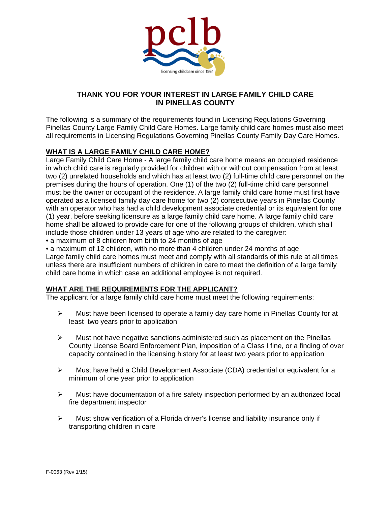

# **THANK YOU FOR YOUR INTEREST IN LARGE FAMILY CHILD CARE IN PINELLAS COUNTY**

The following is a summary of the requirements found in Licensing Regulations Governing Pinellas County Large Family Child Care Homes. Large family child care homes must also meet all requirements in Licensing Regulations Governing Pinellas County Family Day Care Homes.

## **WHAT IS A LARGE FAMILY CHILD CARE HOME?**

Large Family Child Care Home - A large family child care home means an occupied residence in which child care is regularly provided for children with or without compensation from at least two (2) unrelated households and which has at least two (2) full-time child care personnel on the premises during the hours of operation. One (1) of the two (2) full-time child care personnel must be the owner or occupant of the residence. A large family child care home must first have operated as a licensed family day care home for two (2) consecutive years in Pinellas County with an operator who has had a child development associate credential or its equivalent for one (1) year, before seeking licensure as a large family child care home. A large family child care home shall be allowed to provide care for one of the following groups of children, which shall include those children under 13 years of age who are related to the caregiver:

• a maximum of 8 children from birth to 24 months of age

• a maximum of 12 children, with no more than 4 children under 24 months of age

Large family child care homes must meet and comply with all standards of this rule at all times unless there are insufficient numbers of children in care to meet the definition of a large family child care home in which case an additional employee is not required.

### **WHAT ARE THE REQUIREMENTS FOR THE APPLICANT?**

The applicant for a large family child care home must meet the following requirements:

- $\triangleright$  Must have been licensed to operate a family day care home in Pinellas County for at least two years prior to application
- $\triangleright$  Must not have negative sanctions administered such as placement on the Pinellas County License Board Enforcement Plan, imposition of a Class I fine, or a finding of over capacity contained in the licensing history for at least two years prior to application
- $\triangleright$  Must have held a Child Development Associate (CDA) credential or equivalent for a minimum of one year prior to application
- $\triangleright$  Must have documentation of a fire safety inspection performed by an authorized local fire department inspector
- $\triangleright$  Must show verification of a Florida driver's license and liability insurance only if transporting children in care